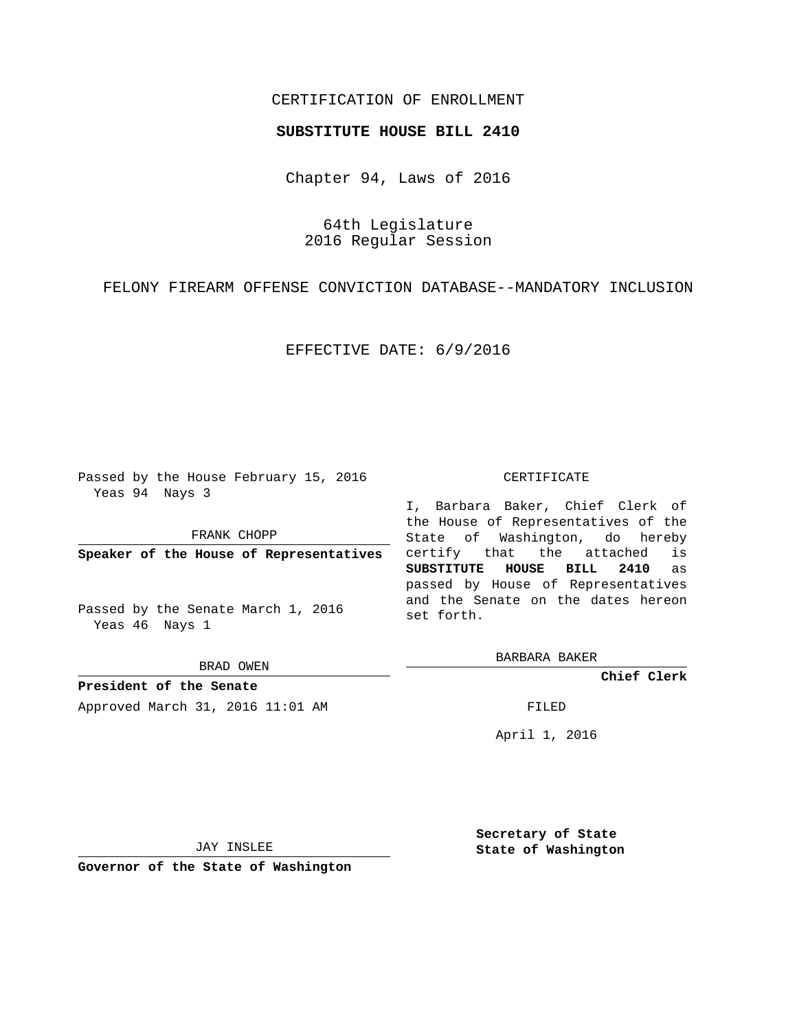# CERTIFICATION OF ENROLLMENT

### **SUBSTITUTE HOUSE BILL 2410**

Chapter 94, Laws of 2016

64th Legislature 2016 Regular Session

FELONY FIREARM OFFENSE CONVICTION DATABASE--MANDATORY INCLUSION

EFFECTIVE DATE: 6/9/2016

Passed by the House February 15, 2016 Yeas 94 Nays 3

FRANK CHOPP

**Speaker of the House of Representatives**

Passed by the Senate March 1, 2016 Yeas 46 Nays 1

BRAD OWEN

**President of the Senate** Approved March 31, 2016 11:01 AM FILED

#### CERTIFICATE

I, Barbara Baker, Chief Clerk of the House of Representatives of the State of Washington, do hereby certify that the attached is **SUBSTITUTE HOUSE BILL 2410** as passed by House of Representatives and the Senate on the dates hereon set forth.

BARBARA BAKER

**Chief Clerk**

April 1, 2016

JAY INSLEE

**Governor of the State of Washington**

**Secretary of State State of Washington**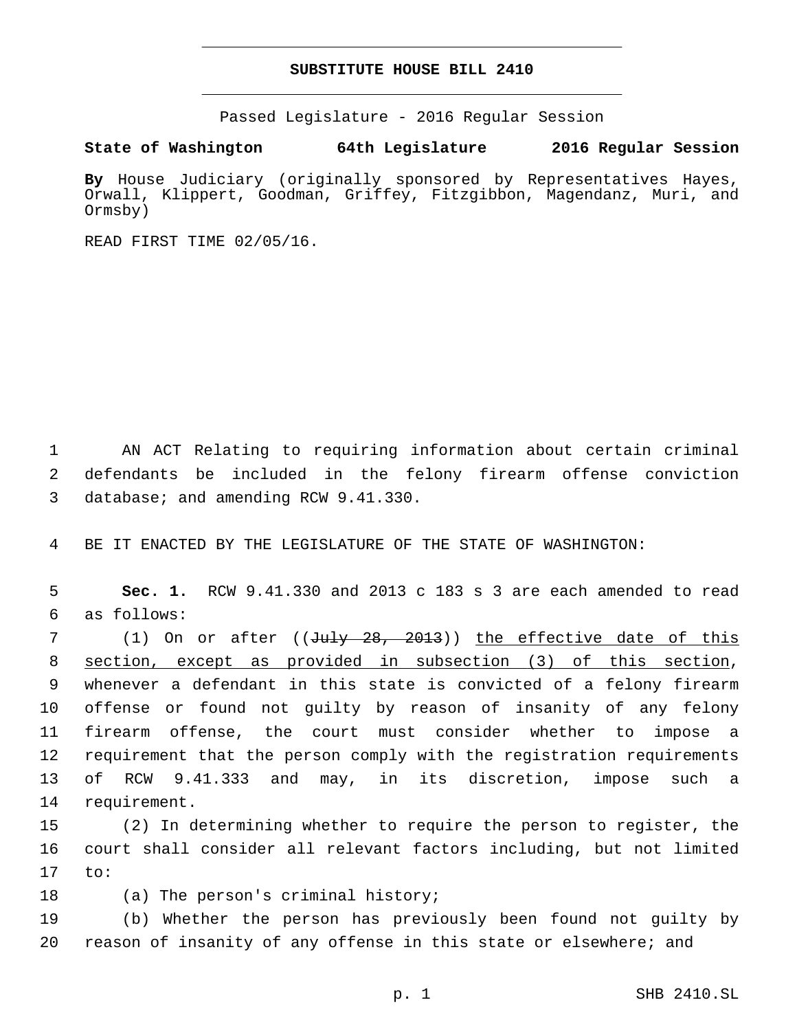## **SUBSTITUTE HOUSE BILL 2410**

Passed Legislature - 2016 Regular Session

**State of Washington 64th Legislature 2016 Regular Session**

**By** House Judiciary (originally sponsored by Representatives Hayes, Orwall, Klippert, Goodman, Griffey, Fitzgibbon, Magendanz, Muri, and Ormsby)

READ FIRST TIME 02/05/16.

1 AN ACT Relating to requiring information about certain criminal 2 defendants be included in the felony firearm offense conviction 3 database; and amending RCW 9.41.330.

4 BE IT ENACTED BY THE LEGISLATURE OF THE STATE OF WASHINGTON:

5 **Sec. 1.** RCW 9.41.330 and 2013 c 183 s 3 are each amended to read as follows:6

7 (1) On or after ((July 28, 2013)) the effective date of this section, except as provided in subsection (3) of this section, whenever a defendant in this state is convicted of a felony firearm offense or found not guilty by reason of insanity of any felony firearm offense, the court must consider whether to impose a requirement that the person comply with the registration requirements of RCW 9.41.333 and may, in its discretion, impose such a 14 requirement.

15 (2) In determining whether to require the person to register, the 16 court shall consider all relevant factors including, but not limited  $17$  to:

18 (a) The person's criminal history;

19 (b) Whether the person has previously been found not guilty by 20 reason of insanity of any offense in this state or elsewhere; and